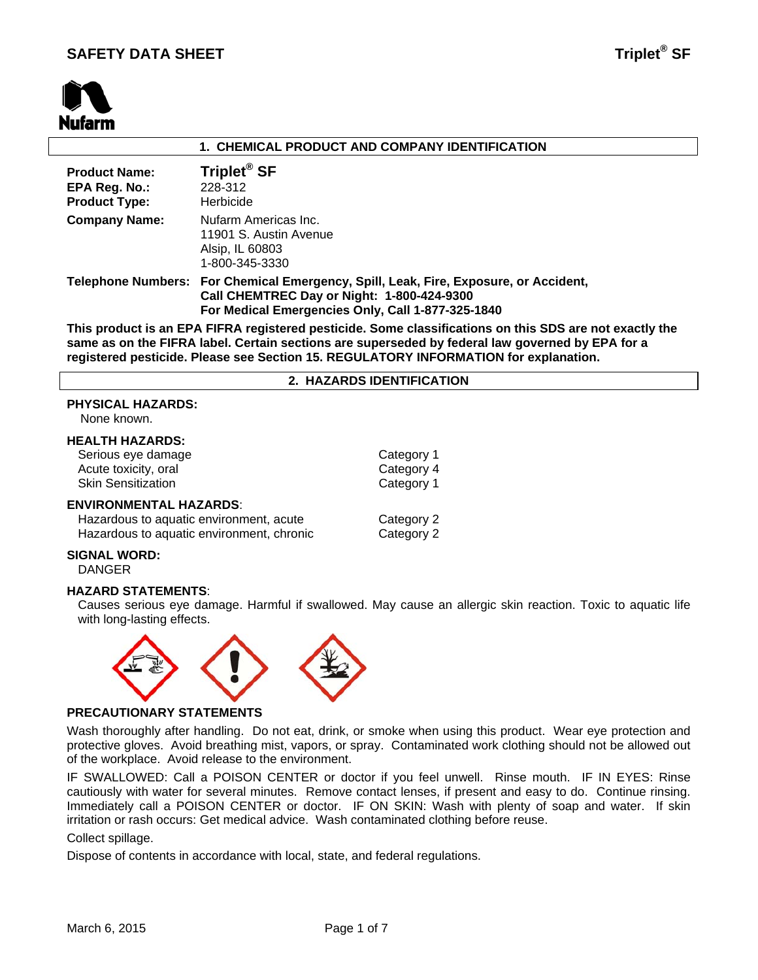

# **1. CHEMICAL PRODUCT AND COMPANY IDENTIFICATION**

| <b>Product Name:</b> | Triplet <sup>®</sup> SF                                                                                                                                                                 |
|----------------------|-----------------------------------------------------------------------------------------------------------------------------------------------------------------------------------------|
| EPA Reg. No.:        | 228-312                                                                                                                                                                                 |
| <b>Product Type:</b> | Herbicide                                                                                                                                                                               |
| <b>Company Name:</b> | Nufarm Americas Inc.<br>11901 S. Austin Avenue<br>Alsip, IL 60803<br>1-800-345-3330                                                                                                     |
|                      | Telephone Numbers: For Chemical Emergency, Spill, Leak, Fire, Exposure, or Accident,<br>Call CHEMTREC Day or Night: 1-800-424-9300<br>For Medical Emergencies Only, Call 1-877-325-1840 |

**This product is an EPA FIFRA registered pesticide. Some classifications on this SDS are not exactly the same as on the FIFRA label. Certain sections are superseded by federal law governed by EPA for a registered pesticide. Please see Section 15. REGULATORY INFORMATION for explanation.**

# **2. HAZARDS IDENTIFICATION**

# **PHYSICAL HAZARDS:**

None known.

# **HEALTH HAZARDS:**

| Serious eye damage<br>Acute toxicity, oral                                                                     | Category 1<br>Category 4                            |
|----------------------------------------------------------------------------------------------------------------|-----------------------------------------------------|
| <b>Skin Sensitization</b>                                                                                      | Category 1                                          |
| <b>ENVIRONMENTAL HAZARDS:</b><br>الماريد مراجعه ومرموما والمراجع والمعورية والمراجع والمواطن والمستحدث والملاح | $\bigcap_{n=1}^{\infty}$ . $\bigcap_{n=1}^{\infty}$ |

| Hazardous to aquatic environment, acute   | Category 2 |
|-------------------------------------------|------------|
| Hazardous to aquatic environment, chronic | Category 2 |

# **SIGNAL WORD:**

DANGER

# **HAZARD STATEMENTS**:

Causes serious eye damage. Harmful if swallowed. May cause an allergic skin reaction. Toxic to aquatic life with long-lasting effects.



#### **PRECAUTIONARY STATEMENTS**

Wash thoroughly after handling. Do not eat, drink, or smoke when using this product. Wear eye protection and protective gloves. Avoid breathing mist, vapors, or spray. Contaminated work clothing should not be allowed out of the workplace. Avoid release to the environment.

IF SWALLOWED: Call a POISON CENTER or doctor if you feel unwell. Rinse mouth. IF IN EYES: Rinse cautiously with water for several minutes. Remove contact lenses, if present and easy to do. Continue rinsing. Immediately call a POISON CENTER or doctor. IF ON SKIN: Wash with plenty of soap and water. If skin irritation or rash occurs: Get medical advice. Wash contaminated clothing before reuse.

# Collect spillage.

Dispose of contents in accordance with local, state, and federal regulations.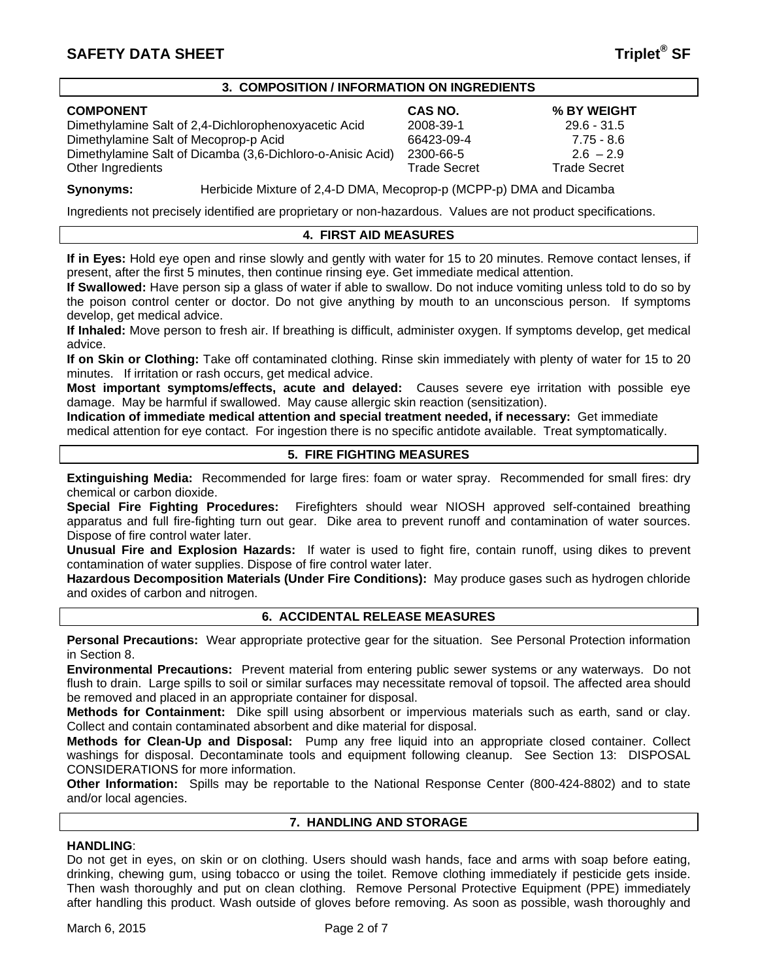### **3. COMPOSITION / INFORMATION ON INGREDIENTS**

# **COMPONENT CAS NO. % BY WEIGHT**

Dimethylamine Salt of 2,4-Dichlorophenoxyacetic Acid 2008-39-1 29.6 - 31.5 Dimethylamine Salt of Mecoprop-p Acid 66423-09-4 7.75 - 8.6 Dimethylamine Salt of Dicamba (3,6-Dichloro-o-Anisic Acid) 2300-66-5 2.6 – 2.9 Other Ingredients **Trade Secret** Trade Secret Trade Secret Trade Secret Trade Secret

**Synonyms:** Herbicide Mixture of 2,4-D DMA, Mecoprop-p (MCPP-p) DMA and Dicamba

Ingredients not precisely identified are proprietary or non-hazardous. Values are not product specifications.

# **4. FIRST AID MEASURES**

**If in Eyes:** Hold eye open and rinse slowly and gently with water for 15 to 20 minutes. Remove contact lenses, if present, after the first 5 minutes, then continue rinsing eye. Get immediate medical attention.

**If Swallowed:** Have person sip a glass of water if able to swallow. Do not induce vomiting unless told to do so by the poison control center or doctor. Do not give anything by mouth to an unconscious person. If symptoms develop, get medical advice.

**If Inhaled:** Move person to fresh air. If breathing is difficult, administer oxygen. If symptoms develop, get medical advice.

**If on Skin or Clothing:** Take off contaminated clothing. Rinse skin immediately with plenty of water for 15 to 20 minutes. If irritation or rash occurs, get medical advice.

**Most important symptoms/effects, acute and delayed:** Causes severe eye irritation with possible eye damage. May be harmful if swallowed. May cause allergic skin reaction (sensitization).

**Indication of immediate medical attention and special treatment needed, if necessary:** Get immediate medical attention for eye contact. For ingestion there is no specific antidote available. Treat symptomatically.

# **5. FIRE FIGHTING MEASURES**

**Extinguishing Media:** Recommended for large fires: foam or water spray. Recommended for small fires: dry chemical or carbon dioxide.

**Special Fire Fighting Procedures:** Firefighters should wear NIOSH approved self-contained breathing apparatus and full fire-fighting turn out gear. Dike area to prevent runoff and contamination of water sources. Dispose of fire control water later.

**Unusual Fire and Explosion Hazards:** If water is used to fight fire, contain runoff, using dikes to prevent contamination of water supplies. Dispose of fire control water later.

**Hazardous Decomposition Materials (Under Fire Conditions):** May produce gases such as hydrogen chloride and oxides of carbon and nitrogen.

# **6. ACCIDENTAL RELEASE MEASURES**

**Personal Precautions:** Wear appropriate protective gear for the situation. See Personal Protection information in Section 8.

**Environmental Precautions:** Prevent material from entering public sewer systems or any waterways. Do not flush to drain. Large spills to soil or similar surfaces may necessitate removal of topsoil. The affected area should be removed and placed in an appropriate container for disposal.

**Methods for Containment:** Dike spill using absorbent or impervious materials such as earth, sand or clay. Collect and contain contaminated absorbent and dike material for disposal.

**Methods for Clean-Up and Disposal:** Pump any free liquid into an appropriate closed container. Collect washings for disposal. Decontaminate tools and equipment following cleanup. See Section 13: DISPOSAL CONSIDERATIONS for more information.

**Other Information:** Spills may be reportable to the National Response Center (800-424-8802) and to state and/or local agencies.

# **7. HANDLING AND STORAGE**

# **HANDLING**:

Do not get in eyes, on skin or on clothing. Users should wash hands, face and arms with soap before eating, drinking, chewing gum, using tobacco or using the toilet. Remove clothing immediately if pesticide gets inside. Then wash thoroughly and put on clean clothing. Remove Personal Protective Equipment (PPE) immediately after handling this product. Wash outside of gloves before removing. As soon as possible, wash thoroughly and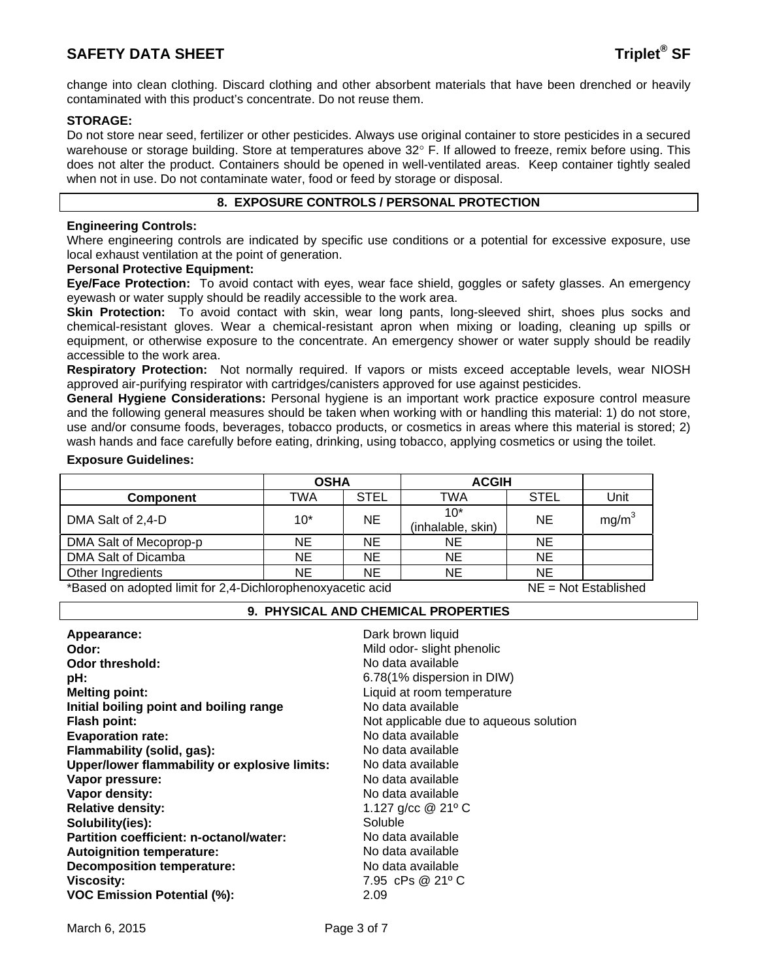# **SAFETY DATA SHEET Triplet<sup>®</sup> SF**

change into clean clothing. Discard clothing and other absorbent materials that have been drenched or heavily contaminated with this product's concentrate. Do not reuse them.

# **STORAGE:**

Do not store near seed, fertilizer or other pesticides. Always use original container to store pesticides in a secured warehouse or storage building. Store at temperatures above 32° F. If allowed to freeze, remix before using. This does not alter the product. Containers should be opened in well-ventilated areas. Keep container tightly sealed when not in use. Do not contaminate water, food or feed by storage or disposal.

# **8. EXPOSURE CONTROLS / PERSONAL PROTECTION**

# **Engineering Controls:**

Where engineering controls are indicated by specific use conditions or a potential for excessive exposure, use local exhaust ventilation at the point of generation.

#### **Personal Protective Equipment:**

**Eye/Face Protection:** To avoid contact with eyes, wear face shield, goggles or safety glasses. An emergency eyewash or water supply should be readily accessible to the work area.

**Skin Protection:** To avoid contact with skin, wear long pants, long-sleeved shirt, shoes plus socks and chemical-resistant gloves. Wear a chemical-resistant apron when mixing or loading, cleaning up spills or equipment, or otherwise exposure to the concentrate. An emergency shower or water supply should be readily accessible to the work area.

**Respiratory Protection:** Not normally required. If vapors or mists exceed acceptable levels, wear NIOSH approved air-purifying respirator with cartridges/canisters approved for use against pesticides.

**General Hygiene Considerations:** Personal hygiene is an important work practice exposure control measure and the following general measures should be taken when working with or handling this material: 1) do not store, use and/or consume foods, beverages, tobacco products, or cosmetics in areas where this material is stored; 2) wash hands and face carefully before eating, drinking, using tobacco, applying cosmetics or using the toilet.

#### **Exposure Guidelines:**

|                                                                                                                                                       | <b>OSHA</b> |             | <b>ACGIH</b>               |             |                   |
|-------------------------------------------------------------------------------------------------------------------------------------------------------|-------------|-------------|----------------------------|-------------|-------------------|
| <b>Component</b>                                                                                                                                      | TWA         | <b>STEL</b> | TWA                        | <b>STEL</b> | Unit              |
| DMA Salt of 2,4-D                                                                                                                                     | $10*$       | <b>NE</b>   | $10*$<br>(inhalable, skin) | <b>NE</b>   | mg/m <sup>3</sup> |
| DMA Salt of Mecoprop-p                                                                                                                                | NE          | NE          | NΕ                         | <b>NE</b>   |                   |
| DMA Salt of Dicamba                                                                                                                                   | <b>NE</b>   | NE          | NΕ                         | <b>NE</b>   |                   |
| Other Ingredients                                                                                                                                     | <b>NE</b>   | <b>NE</b>   | ΝE                         | <b>NE</b>   |                   |
| $\mathbf{r}$ , and $\mathbf{r}$ , and $\mathbf{r}$ , and $\mathbf{r}$ , and $\mathbf{r}$ , and $\mathbf{r}$ , and $\mathbf{r}$<br>$\blacksquare$<br>. |             |             |                            |             |                   |

\*Based on adopted limit for 2,4-Dichlorophenoxyacetic acid NE = Not Established 

# **9. PHYSICAL AND CHEMICAL PROPERTIES**

| Dark brown liquid<br>Mild odor- slight phenolic<br>No data available<br>6.78(1% dispersion in DIW)<br>Liquid at room temperature<br>No data available<br>Not applicable due to aqueous solution<br>No data available<br>No data available<br>No data available<br>No data available<br>No data available<br>1.127 g/cc $@21°C$<br>Soluble<br>No data available<br>No data available<br>No data available |
|----------------------------------------------------------------------------------------------------------------------------------------------------------------------------------------------------------------------------------------------------------------------------------------------------------------------------------------------------------------------------------------------------------|
| 7.95 cPs @ 21°C<br>2.09                                                                                                                                                                                                                                                                                                                                                                                  |
|                                                                                                                                                                                                                                                                                                                                                                                                          |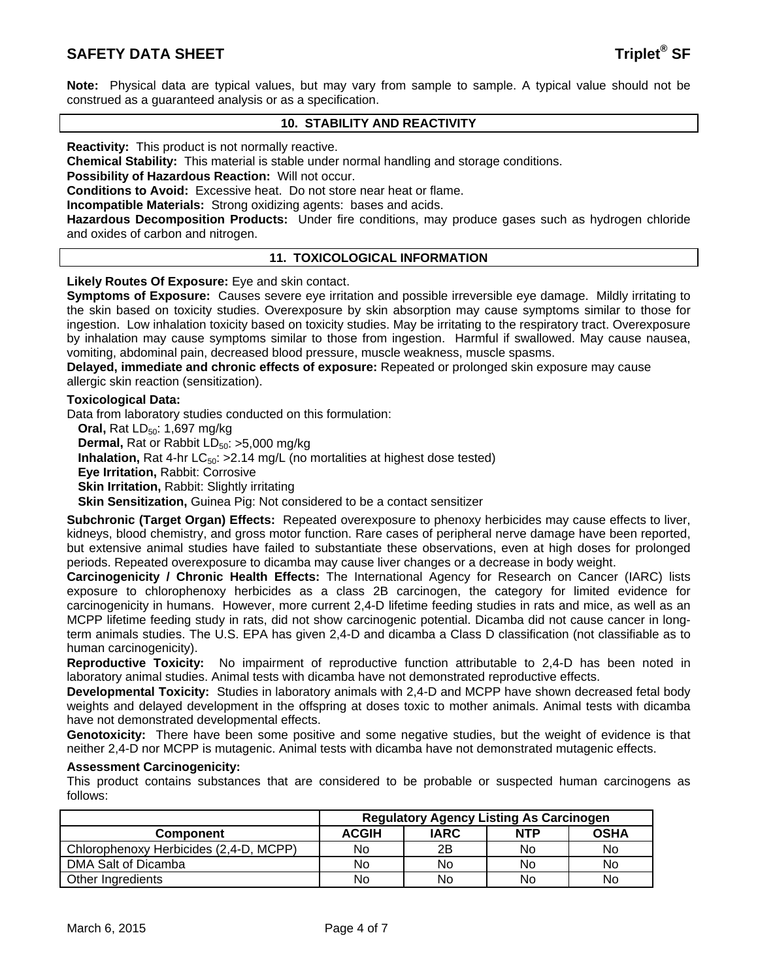**Note:** Physical data are typical values, but may vary from sample to sample. A typical value should not be construed as a guaranteed analysis or as a specification.

# **10. STABILITY AND REACTIVITY**

**Reactivity:** This product is not normally reactive.

**Chemical Stability:** This material is stable under normal handling and storage conditions.

**Possibility of Hazardous Reaction:** Will not occur.

**Conditions to Avoid:** Excessive heat. Do not store near heat or flame.

**Incompatible Materials:** Strong oxidizing agents: bases and acids.

**Hazardous Decomposition Products:** Under fire conditions, may produce gases such as hydrogen chloride and oxides of carbon and nitrogen.

#### **11. TOXICOLOGICAL INFORMATION**

**Likely Routes Of Exposure:** Eye and skin contact.

**Symptoms of Exposure:** Causes severe eye irritation and possible irreversible eye damage. Mildly irritating to the skin based on toxicity studies. Overexposure by skin absorption may cause symptoms similar to those for ingestion. Low inhalation toxicity based on toxicity studies. May be irritating to the respiratory tract. Overexposure by inhalation may cause symptoms similar to those from ingestion. Harmful if swallowed. May cause nausea, vomiting, abdominal pain, decreased blood pressure, muscle weakness, muscle spasms.

**Delayed, immediate and chronic effects of exposure:** Repeated or prolonged skin exposure may cause allergic skin reaction (sensitization).

### **Toxicological Data:**

Data from laboratory studies conducted on this formulation:

**Oral, Rat LD<sub>50</sub>: 1,697 mg/kg Dermal,** Rat or Rabbit LD<sub>50</sub>: >5,000 mg/kg **Inhalation,** Rat 4-hr  $LC_{50}$ :  $>2.14$  mg/L (no mortalities at highest dose tested) **Eye Irritation,** Rabbit: Corrosive **Skin Irritation, Rabbit: Slightly irritating Skin Sensitization, Guinea Pig: Not considered to be a contact sensitizer** 

**Subchronic (Target Organ) Effects:** Repeated overexposure to phenoxy herbicides may cause effects to liver, kidneys, blood chemistry, and gross motor function. Rare cases of peripheral nerve damage have been reported, but extensive animal studies have failed to substantiate these observations, even at high doses for prolonged periods. Repeated overexposure to dicamba may cause liver changes or a decrease in body weight.

**Carcinogenicity / Chronic Health Effects:** The International Agency for Research on Cancer (IARC) lists exposure to chlorophenoxy herbicides as a class 2B carcinogen, the category for limited evidence for carcinogenicity in humans. However, more current 2,4-D lifetime feeding studies in rats and mice, as well as an MCPP lifetime feeding study in rats, did not show carcinogenic potential. Dicamba did not cause cancer in longterm animals studies. The U.S. EPA has given 2,4-D and dicamba a Class D classification (not classifiable as to human carcinogenicity).

**Reproductive Toxicity:** No impairment of reproductive function attributable to 2,4-D has been noted in laboratory animal studies. Animal tests with dicamba have not demonstrated reproductive effects.

**Developmental Toxicity:** Studies in laboratory animals with 2,4-D and MCPP have shown decreased fetal body weights and delayed development in the offspring at doses toxic to mother animals. Animal tests with dicamba have not demonstrated developmental effects.

**Genotoxicity:** There have been some positive and some negative studies, but the weight of evidence is that neither 2,4-D nor MCPP is mutagenic. Animal tests with dicamba have not demonstrated mutagenic effects.

#### **Assessment Carcinogenicity:**

This product contains substances that are considered to be probable or suspected human carcinogens as follows:

|                                        | <b>Regulatory Agency Listing As Carcinogen</b> |             |            |             |
|----------------------------------------|------------------------------------------------|-------------|------------|-------------|
| <b>Component</b>                       | <b>ACGIH</b>                                   | <b>IARC</b> | <b>NTP</b> | <b>OSHA</b> |
| Chlorophenoxy Herbicides (2,4-D, MCPP) | No                                             | 2B          | No         | No.         |
| DMA Salt of Dicamba                    | No                                             | No          | No         | No          |
| Other Ingredients                      | No                                             | No          | No         | No          |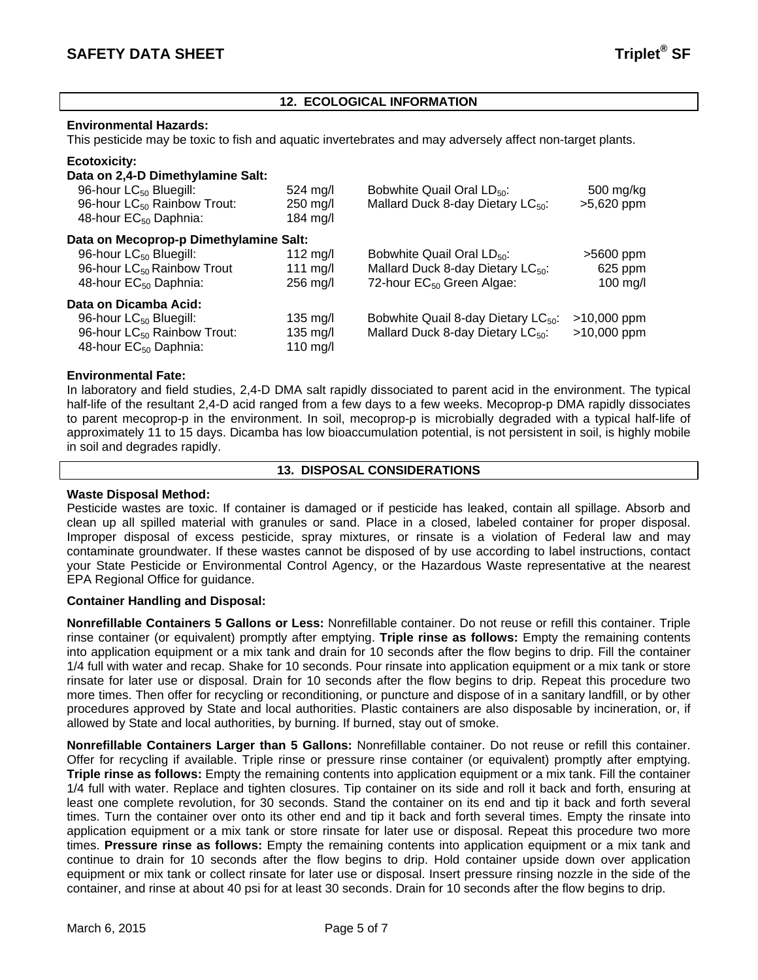# **12. ECOLOGICAL INFORMATION**

#### **Environmental Hazards:**

This pesticide may be toxic to fish and aquatic invertebrates and may adversely affect non-target plants.

# **Ecotoxicity:**

| Data on 2,4-D Dimethylamine Salt:       |                    |                                                 |               |
|-----------------------------------------|--------------------|-------------------------------------------------|---------------|
| 96-hour LC <sub>50</sub> Bluegill:      | $524 \text{ ma/l}$ | Bobwhite Quail Oral LD <sub>50</sub> :          | 500 mg/kg     |
| 96-hour LC <sub>50</sub> Rainbow Trout: | $250$ mg/l         | Mallard Duck 8-day Dietary LC <sub>50</sub> :   | >5,620 ppm    |
| 48-hour EC <sub>50</sub> Daphnia:       | 184 $mg/l$         |                                                 |               |
| Data on Mecoprop-p Dimethylamine Salt:  |                    |                                                 |               |
| 96-hour LC <sub>50</sub> Bluegill:      | 112 $mg/l$         | Bobwhite Quail Oral $LD_{50}$ :                 | $>5600$ ppm   |
| 96-hour LC <sub>50</sub> Rainbow Trout  | 111 mg/l           | Mallard Duck 8-day Dietary LC <sub>50</sub> :   | 625 ppm       |
| 48-hour EC <sub>50</sub> Daphnia:       | $256$ mg/l         | 72-hour EC <sub>50</sub> Green Algae:           | $100$ mg/l    |
| Data on Dicamba Acid:                   |                    |                                                 |               |
| 96-hour LC <sub>50</sub> Bluegill:      | $135 \text{ mg/l}$ | Bobwhite Quail 8-day Dietary LC <sub>50</sub> : | $>10,000$ ppm |
| 96-hour LC <sub>50</sub> Rainbow Trout: | $135 \text{ ma/l}$ | Mallard Duck 8-day Dietary LC <sub>50</sub> :   | $>10,000$ ppm |
| 48-hour EC <sub>50</sub> Daphnia:       | 110 mg/l           |                                                 |               |

# **Environmental Fate:**

In laboratory and field studies, 2,4-D DMA salt rapidly dissociated to parent acid in the environment. The typical half-life of the resultant 2,4-D acid ranged from a few days to a few weeks. Mecoprop-p DMA rapidly dissociates to parent mecoprop-p in the environment. In soil, mecoprop-p is microbially degraded with a typical half-life of approximately 11 to 15 days. Dicamba has low bioaccumulation potential, is not persistent in soil, is highly mobile in soil and degrades rapidly.

#### **13. DISPOSAL CONSIDERATIONS**

### **Waste Disposal Method:**

Pesticide wastes are toxic. If container is damaged or if pesticide has leaked, contain all spillage. Absorb and clean up all spilled material with granules or sand. Place in a closed, labeled container for proper disposal. Improper disposal of excess pesticide, spray mixtures, or rinsate is a violation of Federal law and may contaminate groundwater. If these wastes cannot be disposed of by use according to label instructions, contact your State Pesticide or Environmental Control Agency, or the Hazardous Waste representative at the nearest EPA Regional Office for guidance.

# **Container Handling and Disposal:**

**Nonrefillable Containers 5 Gallons or Less:** Nonrefillable container. Do not reuse or refill this container. Triple rinse container (or equivalent) promptly after emptying. **Triple rinse as follows:** Empty the remaining contents into application equipment or a mix tank and drain for 10 seconds after the flow begins to drip. Fill the container 1/4 full with water and recap. Shake for 10 seconds. Pour rinsate into application equipment or a mix tank or store rinsate for later use or disposal. Drain for 10 seconds after the flow begins to drip. Repeat this procedure two more times. Then offer for recycling or reconditioning, or puncture and dispose of in a sanitary landfill, or by other procedures approved by State and local authorities. Plastic containers are also disposable by incineration, or, if allowed by State and local authorities, by burning. If burned, stay out of smoke.

**Nonrefillable Containers Larger than 5 Gallons:** Nonrefillable container. Do not reuse or refill this container. Offer for recycling if available. Triple rinse or pressure rinse container (or equivalent) promptly after emptying. **Triple rinse as follows:** Empty the remaining contents into application equipment or a mix tank. Fill the container 1/4 full with water. Replace and tighten closures. Tip container on its side and roll it back and forth, ensuring at least one complete revolution, for 30 seconds. Stand the container on its end and tip it back and forth several times. Turn the container over onto its other end and tip it back and forth several times. Empty the rinsate into application equipment or a mix tank or store rinsate for later use or disposal. Repeat this procedure two more times. **Pressure rinse as follows:** Empty the remaining contents into application equipment or a mix tank and continue to drain for 10 seconds after the flow begins to drip. Hold container upside down over application equipment or mix tank or collect rinsate for later use or disposal. Insert pressure rinsing nozzle in the side of the container, and rinse at about 40 psi for at least 30 seconds. Drain for 10 seconds after the flow begins to drip.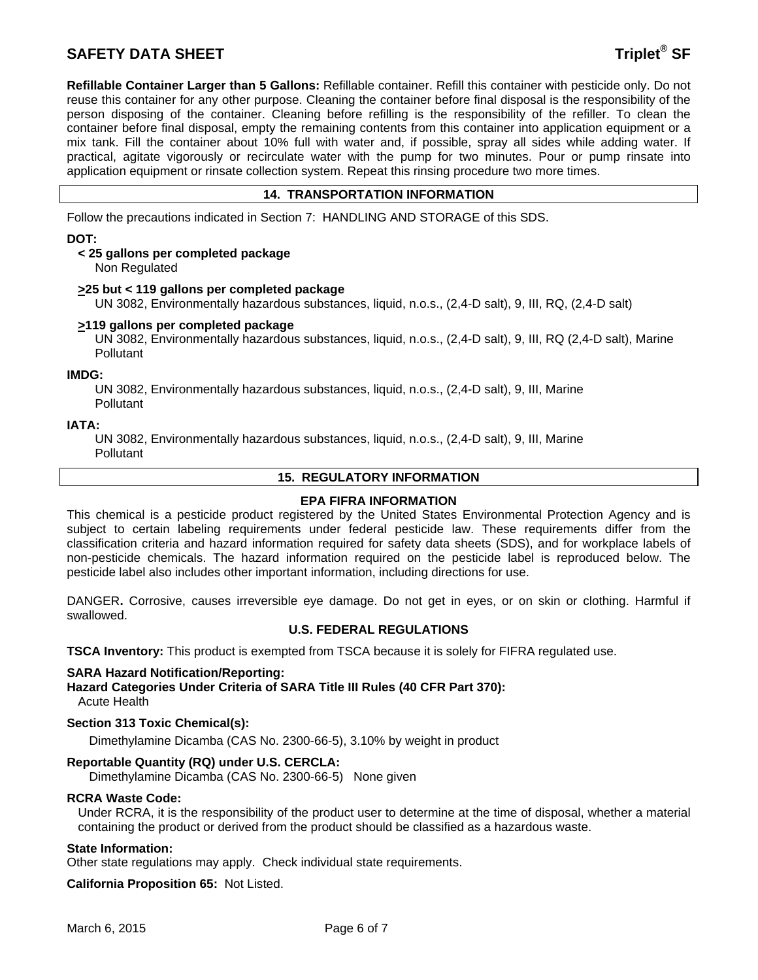# **SAFETY DATA SHEET Triplet<sup>®</sup> SF**

**Refillable Container Larger than 5 Gallons:** Refillable container. Refill this container with pesticide only. Do not reuse this container for any other purpose. Cleaning the container before final disposal is the responsibility of the person disposing of the container. Cleaning before refilling is the responsibility of the refiller. To clean the container before final disposal, empty the remaining contents from this container into application equipment or a mix tank. Fill the container about 10% full with water and, if possible, spray all sides while adding water. If practical, agitate vigorously or recirculate water with the pump for two minutes. Pour or pump rinsate into application equipment or rinsate collection system. Repeat this rinsing procedure two more times.

# **14. TRANSPORTATION INFORMATION**

Follow the precautions indicated in Section 7: HANDLING AND STORAGE of this SDS.

### **DOT:**

# **< 25 gallons per completed package**

Non Regulated

#### **>25 but < 119 gallons per completed package**

UN 3082, Environmentally hazardous substances, liquid, n.o.s., (2,4-D salt), 9, III, RQ, (2,4-D salt)

# **>119 gallons per completed package**

 UN 3082, Environmentally hazardous substances, liquid, n.o.s., (2,4-D salt), 9, III, RQ (2,4-D salt), Marine **Pollutant** 

#### **IMDG:**

 UN 3082, Environmentally hazardous substances, liquid, n.o.s., (2,4-D salt), 9, III, Marine **Pollutant** 

#### **IATA:**

 UN 3082, Environmentally hazardous substances, liquid, n.o.s., (2,4-D salt), 9, III, Marine **Pollutant** 

#### **15. REGULATORY INFORMATION**

# **EPA FIFRA INFORMATION**

This chemical is a pesticide product registered by the United States Environmental Protection Agency and is subject to certain labeling requirements under federal pesticide law. These requirements differ from the classification criteria and hazard information required for safety data sheets (SDS), and for workplace labels of non-pesticide chemicals. The hazard information required on the pesticide label is reproduced below. The pesticide label also includes other important information, including directions for use.

DANGER**.** Corrosive, causes irreversible eye damage. Do not get in eyes, or on skin or clothing. Harmful if swallowed.

# **U.S. FEDERAL REGULATIONS**

**TSCA Inventory:** This product is exempted from TSCA because it is solely for FIFRA regulated use.

# **SARA Hazard Notification/Reporting:**

**Hazard Categories Under Criteria of SARA Title III Rules (40 CFR Part 370):** Acute Health

# **Section 313 Toxic Chemical(s):**

Dimethylamine Dicamba (CAS No. 2300-66-5), 3.10% by weight in product

# **Reportable Quantity (RQ) under U.S. CERCLA:**

Dimethylamine Dicamba (CAS No. 2300-66-5) None given

# **RCRA Waste Code:**

Under RCRA, it is the responsibility of the product user to determine at the time of disposal, whether a material containing the product or derived from the product should be classified as a hazardous waste.

#### **State Information:**

Other state regulations may apply. Check individual state requirements.

**California Proposition 65:** Not Listed.